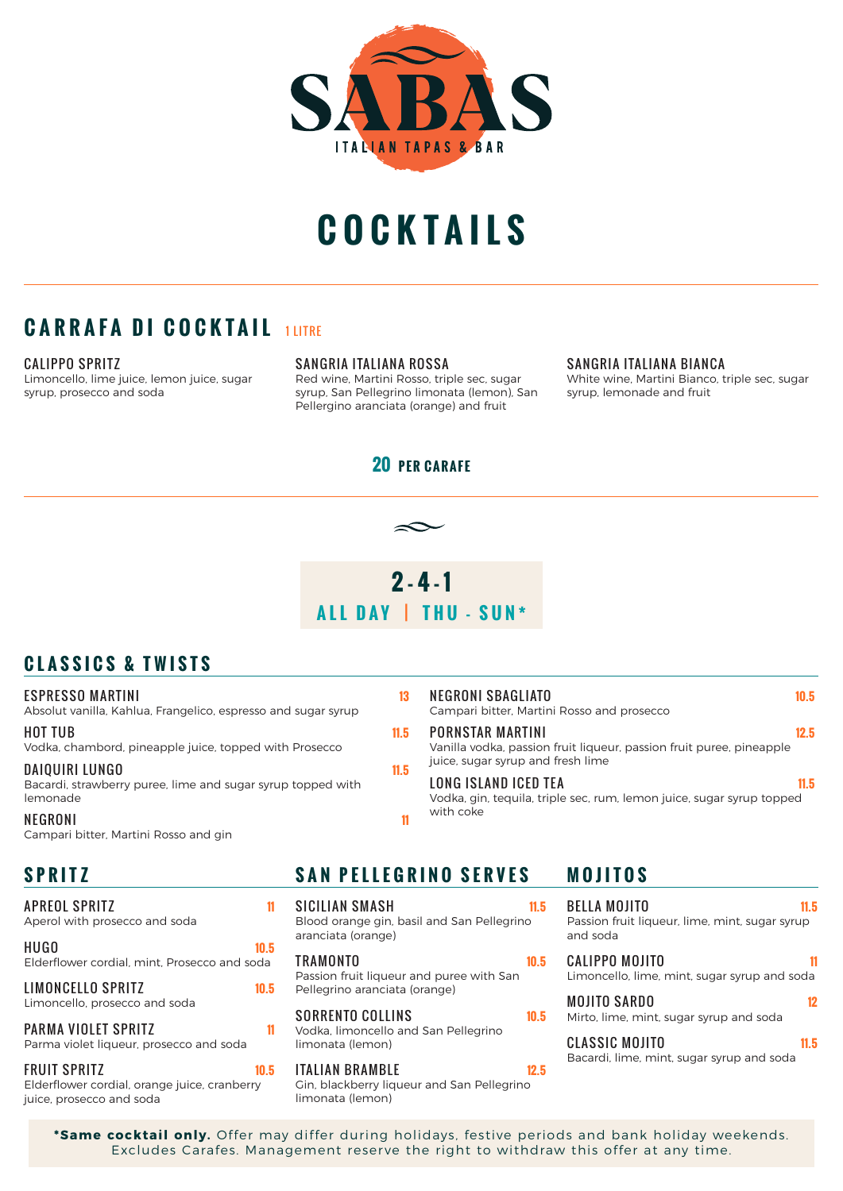

# **COCKTAILS**

## **CARRAFA DI COCKTAIL 1LITRE**

#### CALIPPO SPRITZ

Limoncello, lime juice, lemon juice, sugar syrup, prosecco and soda

SANGRIA ITALIANA ROSSA

Red wine, Martini Rosso, triple sec, sugar syrup, San Pellegrino limonata (lemon), San Pellergino aranciata (orange) and fruit

#### SANGRIA ITALIANA BIANCA

White wine, Martini Bianco, triple sec, sugar syrup, lemonade and fruit

#### **20 PER CARAFE**



### **CLASSICS & TWISTS**

#### ESPRESSO MARTINI **13**

Absolut vanilla, Kahlua, Frangelico, espresso and sugar syrup

#### HOT TUB **11.5**

Vodka, chambord, pineapple juice, topped with Prosecco

#### DAIQUIRI LUNGO **11.5**

Bacardi, strawberry puree, lime and sugar syrup topped with lemonade NEGRONI **11**

Campari bitter, Martini Rosso and gin

| APREOL SPRITZ<br>Aperol with prosecco and soda                 | 11   | SI (<br>Blc     |
|----------------------------------------------------------------|------|-----------------|
| <b>HUGO</b><br>Elderflower cordial, mint, Prosecco and soda    | 10.5 | ara<br>TR.      |
| LIMONCELLO SPRITZ<br>Limoncello, prosecco and soda             | 10.5 | Pas<br>Pel      |
| PARMA VIOLET SPRITZ<br>Parma violet liqueur, prosecco and soda | 11   | SO<br>Vo<br>lim |
| <b>FRUIT SPRITZ</b>                                            | 10.5 | TΑ              |

Elderflower cordial, orange juice, cranberry juice, prosecco and soda

NEGRONI SBAGLIATO **10.5** Campari bitter, Martini Rosso and prosecco

PORNSTAR MARTINI **12.5** 

Vanilla vodka, passion fruit liqueur, passion fruit puree, pineapple juice, sugar syrup and fresh lime

LONG ISLAND ICED TEA **11.5**  Vodka, gin, tequila, triple sec, rum, lemon juice, sugar syrup topped with coke

### **SPRITZ SAN PELLEGRINO SERVES MOJITOS**

SICILIAN SMASH **11.5** ood orange gin, basil and San Pellegrino nciata (orange)

TRAMONTO **10.5**  ssion fruit liqueur and puree with San llegrino aranciata (orange)

RRENTO COLLINS **10.5** dka, limoncello and San Pellegrino lonata (lemon)

ITALIAN BRAMBLE **12.5** Gin, blackberry liqueur and San Pellegrino limonata (lemon)

BELLA MOJITO **11.5** Passion fruit liqueur, lime, mint, sugar syrup and soda

CALIPPO MOJITO **11** Limoncello, lime, mint, sugar syrup and soda

| <b>MOJITO SARDO</b>                     | 12 |
|-----------------------------------------|----|
| Mirto, lime, mint, sugar syrup and soda |    |

CLASSIC MOJITO **11.5** Bacardi, lime, mint, sugar syrup and soda

**\*Same cocktail only.** Offer may differ during holidays, festive periods and bank holiday weekends. Excludes Carafes. Management reserve the right to withdraw this offer at any time.